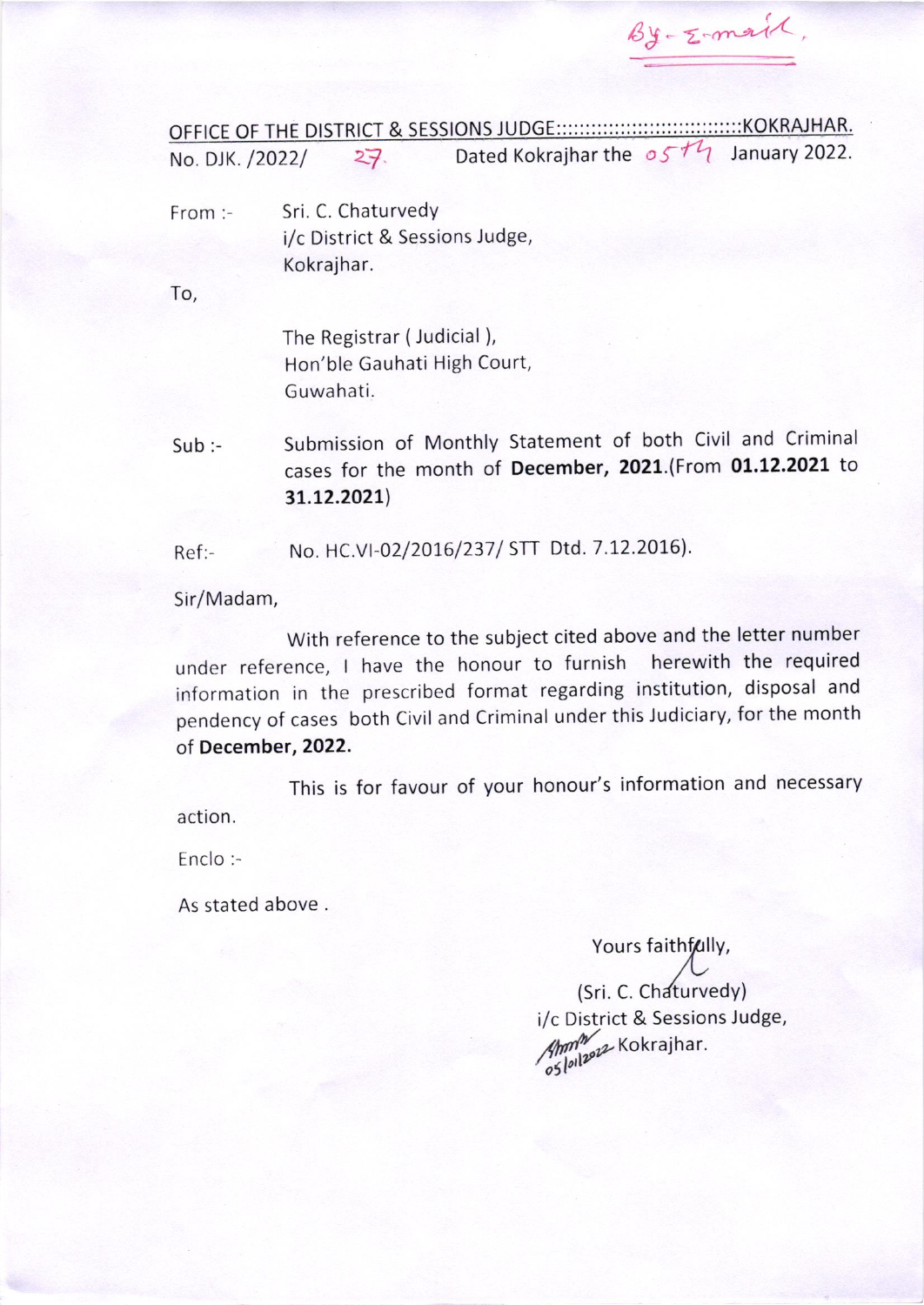$By-z-manif$ 

OFFICE OF THE DISTRICT & <sup>E</sup> SIONS <sup>J</sup> <sup>K</sup> <sup>K</sup> HAR. E No. DJK. /2022/  $27$  Dated Kokrajharthe  $05<sup>+1</sup>$  January 2022.

From :- Sri. C. Chaturvedy i/c District & Sessions Judge, Kokrajhar.

To,

The Registrar ( Judicial ), Hon'ble Gauhati High Court, Guwahati.

Sub:- Submission of Monthly Statement of both Civil and Criminal cases for the month of December, 2021.(From 01.12.2021 to 3t.L2.202L)

Ref:- No. HC.VI-02/2016/237/ STT Dtd. 7.12.2016).

Sir/Madam,

With reference to the subject cited above and the letter number under reference, I have the honour to furnish herewith the required information in the prescribed format regarding institution, disposal and pendency of cases both civil and criminal under this Judiciary, for the month of December,2022.

This is for favour of your honour's information and necessary action.

Enclo:-

As stated above.

#### Yours faithfully,

(Sri. C. Chaturvedy) i/c District & Sessions Judge, Ann<sup>n</sup> Kokrajhar.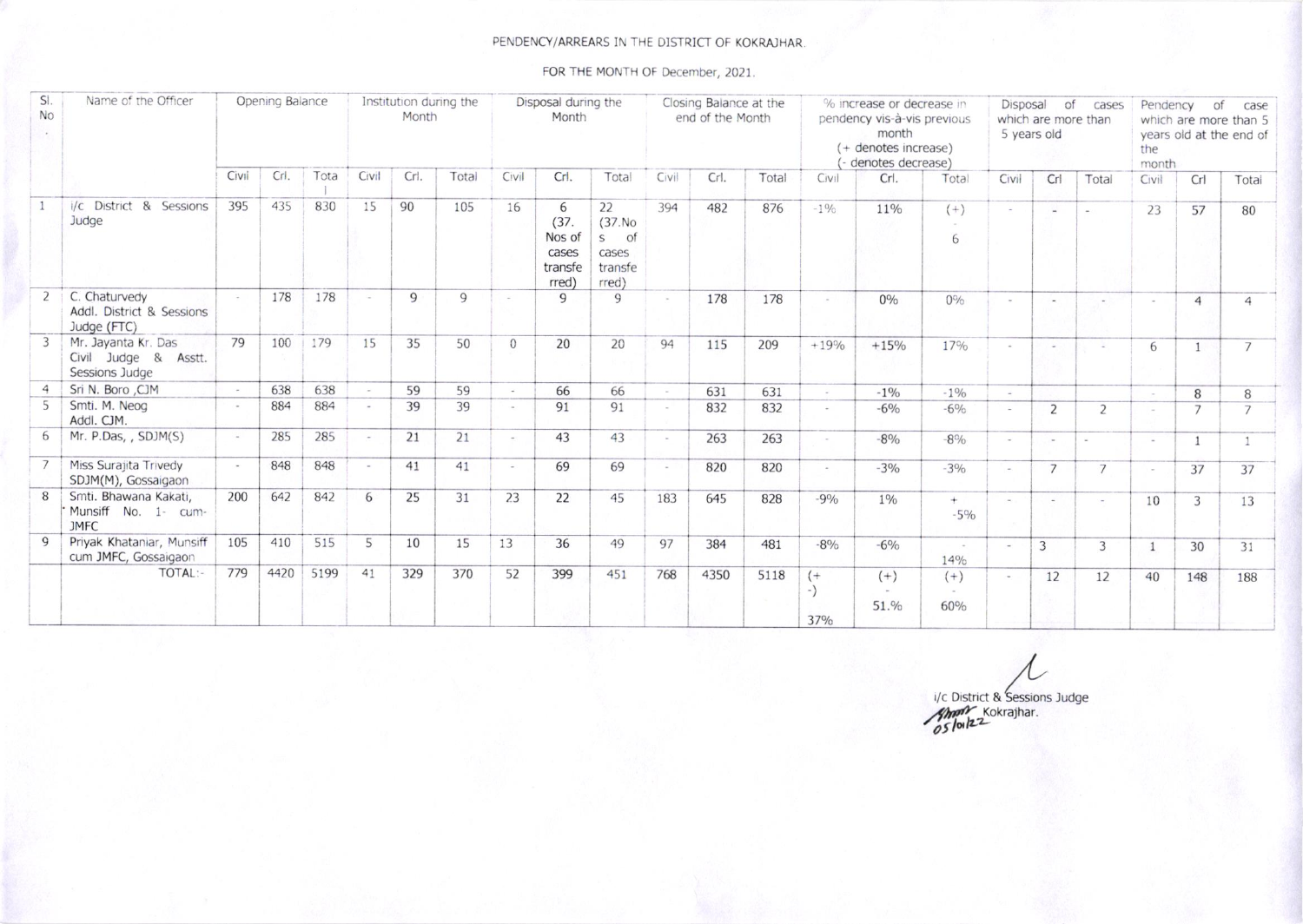#### PENDENCY/ARREARS IN THE DISTRICT OF KOKRAJHAR.

FOR THE MONTH OF December, 2021.

| SI.<br>No | Name of the Officer                                           |        | Opening Balance |      | Institution during the<br>Month |      |       | Disposal during the<br>Month |                                                  |                                                                  | Closing Balance at the<br>end of the Month |      |       | % increase or decrease in<br>pendency vis-à-vis previous<br>month<br>(+ denotes increase)<br>denotes decrease) |                         |                        | Disposal<br>of<br>cases<br>which are more than<br>5 years old |                       |                | Pendency<br>of<br>case<br>which are more than 5<br>years old at the end of<br>the<br>month |                |                |
|-----------|---------------------------------------------------------------|--------|-----------------|------|---------------------------------|------|-------|------------------------------|--------------------------------------------------|------------------------------------------------------------------|--------------------------------------------|------|-------|----------------------------------------------------------------------------------------------------------------|-------------------------|------------------------|---------------------------------------------------------------|-----------------------|----------------|--------------------------------------------------------------------------------------------|----------------|----------------|
|           |                                                               | Civil  | Crl.            | Tota | Civil                           | Crl. | Total | Civil                        | Crl.                                             | Total                                                            | Civil                                      | Crl. | Total | Civil                                                                                                          | Crl.                    | Total                  | Civil                                                         | Cr                    | Total          | Civil                                                                                      | Crl            | Total          |
|           | i/c District & Sessions<br>Judge                              | 395    | 435             | 830  | 15                              | 90   | 105   | 16                           | 6<br>(37.<br>Nos of<br>cases<br>transfe<br>rred) | 22<br>(37.No)<br>of<br>$\mathsf{S}$<br>cases<br>transfe<br>rred) | 394                                        | 482  | 876   | $-1\%$                                                                                                         | 11%                     | $(+)$<br>6             | $\sim$                                                        | $\sim$                |                | 23                                                                                         | 57             | 80             |
|           | C. Chaturvedy<br>Addl. District & Sessions<br>Judge (FTC)     | $\sim$ | 178             | 178  | $\sim$                          | 9    | 9     |                              | 9                                                | 9                                                                |                                            | 178  | 178   | $\sim$                                                                                                         | $0\%$                   | $0\%$                  |                                                               | i.                    | $\sim$         |                                                                                            | $\overline{4}$ | Δ              |
|           | Mr. Jayanta Kr. Das<br>Civil Judge & Asstt.<br>Sessions Judge | 79     | 100             | 179  | 15                              | 35   | 50    | $\Omega$                     | 20                                               | 20                                                               | 94                                         | 115  | 209   | $+19%$                                                                                                         | $+15%$                  | 17%                    |                                                               | $\sim$                | $\omega$       | 6                                                                                          | $\mathbf{1}$   | $\overline{7}$ |
|           | Sri N. Boro , CJM                                             | $\sim$ | 638             | 638  | $\sim$                          | 59   | 59    | $\sim$                       | 66                                               | 66                                                               | $\sim$                                     | 631  | 631   | $\sim$                                                                                                         | $-1\%$                  | $-1\%$                 | $\sim$                                                        |                       |                |                                                                                            | 8              | 8              |
|           | Smti. M. Neog<br>Addl. CJM.                                   | $\sim$ | 884             | 884  | $\sim$                          | 39   | 39    |                              | 91                                               | 91                                                               | $\sim$                                     | 832  | 832   | $\omega_{\rm c}$                                                                                               | $-6%$                   | $-6%$                  |                                                               | 2                     | 2              |                                                                                            | $\overline{7}$ |                |
| 6         | Mr. P.Das, , SDJM(S)                                          |        | 285             | 285  | $\sim$                          | 21   | 21    |                              | 43                                               | 43                                                               | $\sim$                                     | 263  | 263   | $\sim$                                                                                                         | $-8%$                   | $-8\%$                 |                                                               | $\sim$                | $\sim$         | $\sim$                                                                                     | $\mathbf{1}$   |                |
|           | Miss Suraiita Trivedy<br>SDJM(M), Gossaigaon                  | $\sim$ | 848             | 848  | $\sim$                          | 41   | 41    |                              | 69                                               | 69                                                               | $\sim$                                     | 820  | 820   | $\sim$                                                                                                         | $-3%$                   | $-3%$                  | $\sim$                                                        | $\overline{7}$        | $\overline{7}$ |                                                                                            | 37             | 37             |
|           | Smti. Bhawana Kakati,<br>Munsiff No. 1- cum-<br><b>JMFC</b>   | 200    | 642             | 842  | 6                               | 25   | 31    | 23                           | 22                                               | 45                                                               | 183                                        | 645  | 828   | $-9%$                                                                                                          | $1\%$                   | $+$<br>$-5%$           |                                                               | $\tilde{\phantom{a}}$ | $\sim$         | 10                                                                                         | 3              | 13             |
| Q         | Priyak Khataniar, Munsiff<br>cum JMFC, Gossaigaon             | 105    | 410             | 515  | 5                               | 10   | 15    | 13                           | 36                                               | 49                                                               | 97                                         | 384  | 481   | $-8%$                                                                                                          | $-6\%$                  | $\sim$<br>14%          |                                                               | 3                     | 3              |                                                                                            | 30             | 31             |
|           | TOTAL:-                                                       | 779    | 4420            | 5199 | 41                              | 329  | 370   | 52                           | 399                                              | 451                                                              | 768                                        | 4350 | 5118  | $($ +<br>270/                                                                                                  | $(+)$<br>$\sim$<br>51.% | $(+)$<br>$\sim$<br>60% |                                                               | 12                    | 12             | 40                                                                                         | 148            | 188            |

i/c District & Sessions Judge<br>
Solve Kokrajhar.<br>
OS Joinz 2